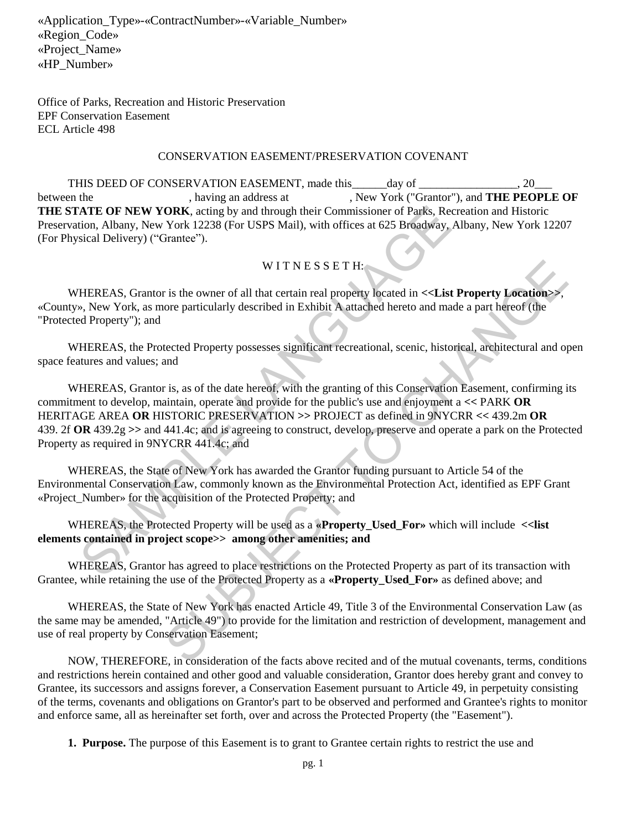Office of Parks, Recreation and Historic Preservation EPF Conservation Easement ECL Article 498

#### CONSERVATION EASEMENT/PRESERVATION COVENANT

THIS DEED OF CONSERVATION EASEMENT, made this day of \_\_\_\_\_\_\_\_\_\_\_\_\_\_\_, 20 between the , having an address at , New York ("Grantor"), and **THE PEOPLE OF THE STATE OF NEW YORK**, acting by and through their Commissioner of Parks, Recreation and Historic Preservation, Albany, New York 12238 (For USPS Mail), with offices at 625 Broadway, Albany, New York 12207 (For Physical Delivery) ("Grantee").

# WITNESSETH:

WHEREAS, Grantor is the owner of all that certain real property located in **<<List Property Location>>**, «County», New York, as more particularly described in Exhibit A attached hereto and made a part hereof (the "Protected Property"); and

WHEREAS, the Protected Property possesses significant recreational, scenic, historical, architectural and open space features and values; and

WHEREAS, Grantor is, as of the date hereof, with the granting of this Conservation Easement, confirming its commitment to develop, maintain, operate and provide for the public's use and enjoyment a **<<** PARK **OR**  HERITAGE AREA **OR** HISTORIC PRESERVATION **>>** PROJECT as defined in 9NYCRR **<<** 439.2m **OR**  439. 2f **OR** 439.2g **>>** and 441.4c; and is agreeing to construct, develop, preserve and operate a park on the Protected Property as required in 9NYCRR 441.4c; and **ATE OF NEW YORK**, acting by and through their Commissioner of Parks, Recreation, Albany, New York 12238 (For USPS Mail), with offices at 625 Broadway, Alb<br>
Sical Delivery) ("Grantee").<br>
W I T N E S S E T H:<br>
HEREAS, Gran WIT N E S S E T H:<br>
is the owner of all that certain real property located in <<List **Property Location>>**,<br>
ore particularly described in Exhibit A attached hereto and made a part hereof (the<br>
lected Property possesses s

WHEREAS, the State of New York has awarded the Grantor funding pursuant to Article 54 of the Environmental Conservation Law, commonly known as the Environmental Protection Act, identified as EPF Grant «Project\_Number» for the acquisition of the Protected Property; and

WHEREAS, the Protected Property will be used as a «**Property Used For**» which will include  $\le$ list **elements contained in project scope>> among other amenities; and**

WHEREAS, Grantor has agreed to place restrictions on the Protected Property as part of its transaction with Grantee, while retaining the use of the Protected Property as a **«Property\_Used\_For»** as defined above; and

WHEREAS, the State of New York has enacted Article 49, Title 3 of the Environmental Conservation Law (as the same may be amended, "Article 49") to provide for the limitation and restriction of development, management and use of real property by Conservation Easement;

NOW, THEREFORE, in consideration of the facts above recited and of the mutual covenants, terms, conditions and restrictions herein contained and other good and valuable consideration, Grantor does hereby grant and convey to Grantee, its successors and assigns forever, a Conservation Easement pursuant to Article 49, in perpetuity consisting of the terms, covenants and obligations on Grantor's part to be observed and performed and Grantee's rights to monitor and enforce same, all as hereinafter set forth, over and across the Protected Property (the "Easement").

**1. Purpose.** The purpose of this Easement is to grant to Grantee certain rights to restrict the use and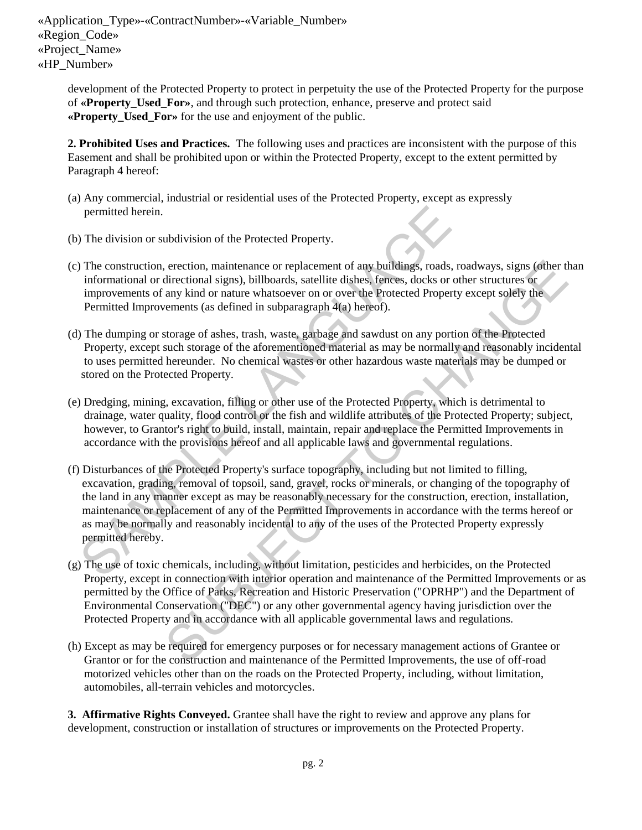development of the Protected Property to protect in perpetuity the use of the Protected Property for the purpose of **«Property\_Used\_For»**, and through such protection, enhance, preserve and protect said **«Property\_Used\_For»** for the use and enjoyment of the public.

**2. Prohibited Uses and Practices.** The following uses and practices are inconsistent with the purpose of this Easement and shall be prohibited upon or within the Protected Property, except to the extent permitted by Paragraph 4 hereof:

- (a) Any commercial, industrial or residential uses of the Protected Property, except as expressly permitted herein.
- (b) The division or subdivision of the Protected Property.
- (c) The construction, erection, maintenance or replacement of any buildings, roads, roadways, signs (other than informational or directional signs), billboards, satellite dishes, fences, docks or other structures or improvements of any kind or nature whatsoever on or over the Protected Property except solely the Permitted Improvements (as defined in subparagraph 4(a) hereof).
- (d) The dumping or storage of ashes, trash, waste, garbage and sawdust on any portion of the Protected Property, except such storage of the aforementioned material as may be normally and reasonably incidental to uses permitted hereunder. No chemical wastes or other hazardous waste materials may be dumped or stored on the Protected Property.
- (e) Dredging, mining, excavation, filling or other use of the Protected Property, which is detrimental to drainage, water quality, flood control or the fish and wildlife attributes of the Protected Property; subject, however, to Grantor's right to build, install, maintain, repair and replace the Permitted Improvements in accordance with the provisions hereof and all applicable laws and governmental regulations.
- (f) Disturbances of the Protected Property's surface topography, including but not limited to filling, excavation, grading, removal of topsoil, sand, gravel, rocks or minerals, or changing of the topography of the land in any manner except as may be reasonably necessary for the construction, erection, installation, maintenance or replacement of any of the Permitted Improvements in accordance with the terms hereof or as may be normally and reasonably incidental to any of the uses of the Protected Property expressly permitted hereby. permitted herein.<br>
The division or subdivision of the Protected Property.<br>
The construction, erection, maintenance or replacement of any buildings, roads, roads<br>
informational or directional signs), billboards, satellite d erection, maintenance or replacement of any buildings, roads, roadways, signs (ofther that<br>directional signs), hillboards, satellite dishes, fraces, docks or other structures or<br>any kind or nature whatsoever on or over the
- (g) The use of toxic chemicals, including, without limitation, pesticides and herbicides, on the Protected Property, except in connection with interior operation and maintenance of the Permitted Improvements or as permitted by the Office of Parks, Recreation and Historic Preservation ("OPRHP") and the Department of Environmental Conservation ("DEC") or any other governmental agency having jurisdiction over the Protected Property and in accordance with all applicable governmental laws and regulations.
- (h) Except as may be required for emergency purposes or for necessary management actions of Grantee or Grantor or for the construction and maintenance of the Permitted Improvements, the use of off-road motorized vehicles other than on the roads on the Protected Property, including, without limitation, automobiles, all-terrain vehicles and motorcycles.

**3. Affirmative Rights Conveyed.** Grantee shall have the right to review and approve any plans for development, construction or installation of structures or improvements on the Protected Property.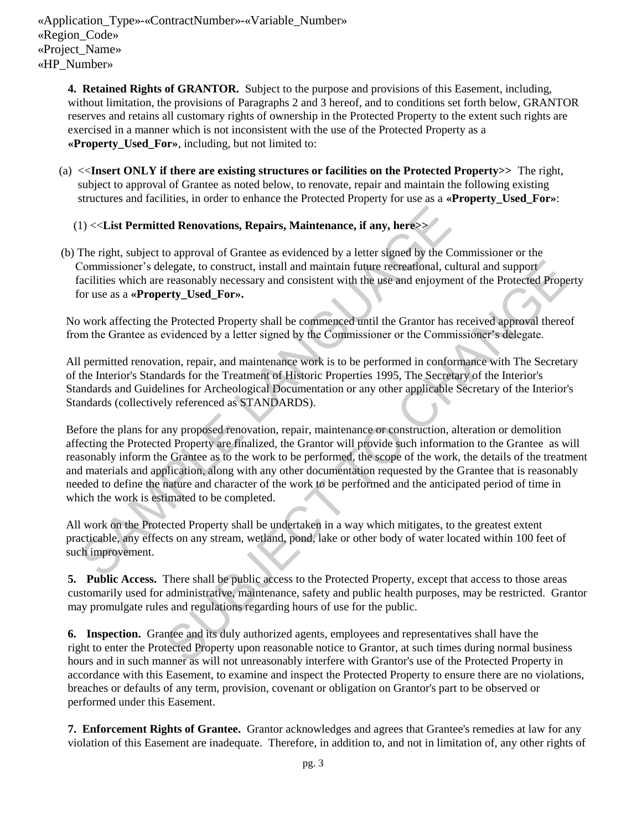**4. Retained Rights of GRANTOR.** Subject to the purpose and provisions of this Easement, including, without limitation, the provisions of Paragraphs 2 and 3 hereof, and to conditions set forth below, GRANTOR reserves and retains all customary rights of ownership in the Protected Property to the extent such rights are exercised in a manner which is not inconsistent with the use of the Protected Property as a **«Property\_Used\_For»**, including, but not limited to:

(a) <<**Insert ONLY if there are existing structures or facilities on the Protected Property>>** The right, subject to approval of Grantee as noted below, to renovate, repair and maintain the following existing structures and facilities, in order to enhance the Protected Property for use as a **«Property\_Used\_For»**:

# (1) <<**List Permitted Renovations, Repairs, Maintenance, if any, here>>**

 (b) The right, subject to approval of Grantee as evidenced by a letter signed by the Commissioner or the Commissioner's delegate, to construct, install and maintain future recreational, cultural and support facilities which are reasonably necessary and consistent with the use and enjoyment of the Protected Property for use as a **«Property\_Used\_For».** 

No work affecting the Protected Property shall be commenced until the Grantor has received approval thereof from the Grantee as evidenced by a letter signed by the Commissioner or the Commissioner's delegate.

All permitted renovation, repair, and maintenance work is to be performed in conformance with The Secretary of the Interior's Standards for the Treatment of Historic Properties 1995, The Secretary of the Interior's Standards and Guidelines for Archeological Documentation or any other applicable Secretary of the Interior's Standards (collectively referenced as STANDARDS).

Before the plans for any proposed renovation, repair, maintenance or construction, alteration or demolition affecting the Protected Property are finalized, the Grantor will provide such information to the Grantee as will reasonably inform the Grantee as to the work to be performed, the scope of the work, the details of the treatment and materials and application, along with any other documentation requested by the Grantee that is reasonably needed to define the nature and character of the work to be performed and the anticipated period of time in which the work is estimated to be completed. 1) <<List Permitted Renovations, Repairs, Maintenance, if any, here>><br>The right, subject to approval of Grantee as evidenced by a letter signal by the Com<br>Commissioner's delegate, to construct, install and maintain future elegate, to construct, install and maintain future recreational, cultural and support<br>resononbly necessary and consistent with the use and enjoyment of the Protected Property<br>Try Used Prores.<br>Protected Property shall be co

All work on the Protected Property shall be undertaken in a way which mitigates, to the greatest extent practicable, any effects on any stream, wetland, pond, lake or other body of water located within 100 feet of such improvement.

**5. Public Access.** There shall be public access to the Protected Property, except that access to those areas customarily used for administrative, maintenance, safety and public health purposes, may be restricted. Grantor may promulgate rules and regulations regarding hours of use for the public.

**6. Inspection.** Grantee and its duly authorized agents, employees and representatives shall have the right to enter the Protected Property upon reasonable notice to Grantor, at such times during normal business hours and in such manner as will not unreasonably interfere with Grantor's use of the Protected Property in accordance with this Easement, to examine and inspect the Protected Property to ensure there are no violations, breaches or defaults of any term, provision, covenant or obligation on Grantor's part to be observed or performed under this Easement.

 **7. Enforcement Rights of Grantee.** Grantor acknowledges and agrees that Grantee's remedies at law for any violation of this Easement are inadequate. Therefore, in addition to, and not in limitation of, any other rights of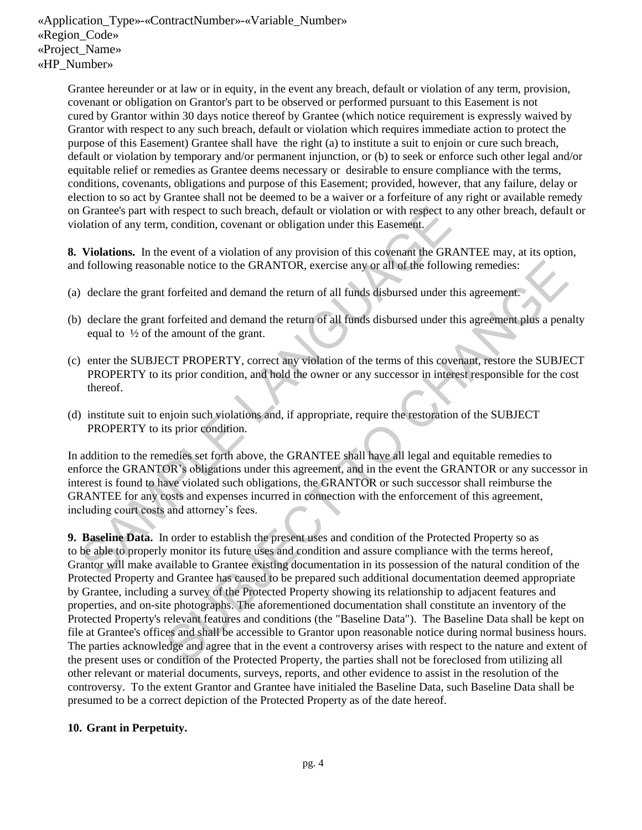Grantee hereunder or at law or in equity, in the event any breach, default or violation of any term, provision, covenant or obligation on Grantor's part to be observed or performed pursuant to this Easement is not cured by Grantor within 30 days notice thereof by Grantee (which notice requirement is expressly waived by Grantor with respect to any such breach, default or violation which requires immediate action to protect the purpose of this Easement) Grantee shall have the right (a) to institute a suit to enjoin or cure such breach, default or violation by temporary and/or permanent injunction, or (b) to seek or enforce such other legal and/or equitable relief or remedies as Grantee deems necessary or desirable to ensure compliance with the terms, conditions, covenants, obligations and purpose of this Easement; provided, however, that any failure, delay or election to so act by Grantee shall not be deemed to be a waiver or a forfeiture of any right or available remedy on Grantee's part with respect to such breach, default or violation or with respect to any other breach, default or violation of any term, condition, covenant or obligation under this Easement.

**8. Violations.** In the event of a violation of any provision of this covenant the GRANTEE may, at its option, and following reasonable notice to the GRANTOR, exercise any or all of the following remedies:

- (a) declare the grant forfeited and demand the return of all funds disbursed under this agreement.
- (b) declare the grant forfeited and demand the return of all funds disbursed under this agreement plus a penalty equal to ½ of the amount of the grant.
- (c) enter the SUBJECT PROPERTY, correct any violation of the terms of this covenant, restore the SUBJECT PROPERTY to its prior condition, and hold the owner or any successor in interest responsible for the cost thereof.
- (d) institute suit to enjoin such violations and, if appropriate, require the restoration of the SUBJECT PROPERTY to its prior condition.

 In addition to the remedies set forth above, the GRANTEE shall have all legal and equitable remedies to enforce the GRANTOR's obligations under this agreement, and in the event the GRANTOR or any successor in interest is found to have violated such obligations, the GRANTOR or such successor shall reimburse the GRANTEE for any costs and expenses incurred in connection with the enforcement of this agreement, including court costs and attorney's fees. Grantee's part with respect to such breach, default or violation or with respect to an<br>alation of any term, condition, covenant or obligation under this Easement.<br> **Violations.** In the event of a violation of any provision

**9. Baseline Data.** In order to establish the present uses and condition of the Protected Property so as to be able to properly monitor its future uses and condition and assure compliance with the terms hereof, Grantor will make available to Grantee existing documentation in its possession of the natural condition of the Protected Property and Grantee has caused to be prepared such additional documentation deemed appropriate by Grantee, including a survey of the Protected Property showing its relationship to adjacent features and properties, and on-site photographs. The aforementioned documentation shall constitute an inventory of the Protected Property's relevant features and conditions (the "Baseline Data"). The Baseline Data shall be kept on file at Grantee's offices and shall be accessible to Grantor upon reasonable notice during normal business hours. The parties acknowledge and agree that in the event a controversy arises with respect to the nature and extent of the present uses or condition of the Protected Property, the parties shall not be foreclosed from utilizing all other relevant or material documents, surveys, reports, and other evidence to assist in the resolution of the controversy. To the extent Grantor and Grantee have initialed the Baseline Data, such Baseline Data shall be presumed to be a correct depiction of the Protected Property as of the date hereof. able notice to the GRANTOR, exercise any or all of the following remedies:<br>
forfeited and demand the return of all funds disbursed under this agreement.<br>
forfeited and demand the return of all funds disbursed under this ag

### **10. Grant in Perpetuity.**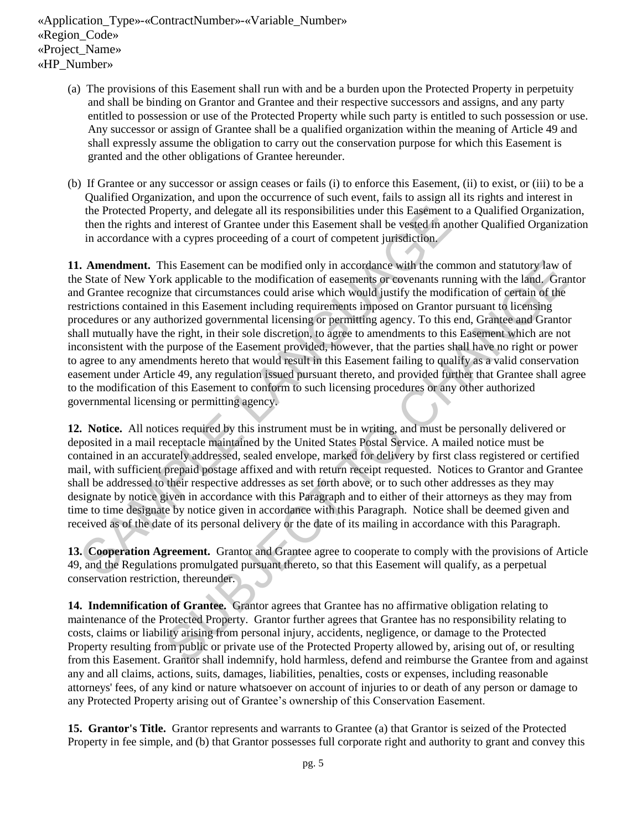- (a) The provisions of this Easement shall run with and be a burden upon the Protected Property in perpetuity and shall be binding on Grantor and Grantee and their respective successors and assigns, and any party entitled to possession or use of the Protected Property while such party is entitled to such possession or use. Any successor or assign of Grantee shall be a qualified organization within the meaning of Article 49 and shall expressly assume the obligation to carry out the conservation purpose for which this Easement is granted and the other obligations of Grantee hereunder.
- (b) If Grantee or any successor or assign ceases or fails (i) to enforce this Easement, (ii) to exist, or (iii) to be a Qualified Organization, and upon the occurrence of such event, fails to assign all its rights and interest in the Protected Property, and delegate all its responsibilities under this Easement to a Qualified Organization, then the rights and interest of Grantee under this Easement shall be vested in another Qualified Organization in accordance with a cypres proceeding of a court of competent jurisdiction.

**11. Amendment.** This Easement can be modified only in accordance with the common and statutory law of the State of New York applicable to the modification of easements or covenants running with the land. Grantor and Grantee recognize that circumstances could arise which would justify the modification of certain of the restrictions contained in this Easement including requirements imposed on Grantor pursuant to licensing procedures or any authorized governmental licensing or permitting agency. To this end, Grantee and Grantor shall mutually have the right, in their sole discretion, to agree to amendments to this Easement which are not inconsistent with the purpose of the Easement provided, however, that the parties shall have no right or power to agree to any amendments hereto that would result in this Easement failing to qualify as a valid conservation easement under Article 49, any regulation issued pursuant thereto, and provided further that Grantee shall agree to the modification of this Easement to conform to such licensing procedures or any other authorized governmental licensing or permitting agency. the Protected Property, and delegate all its responsibilities under this Easement to it then the rights and interest of Grantee under this Easement shall be vested in anocordance with a express proceeding of a court of com his Easement can be modified only in accordance with the common and statutory law of<br>
of a prilicable to the modification of easements or overants running with the land. Granto<br>
re that circumstances could arise which woul

**12. Notice.** All notices required by this instrument must be in writing, and must be personally delivered or deposited in a mail receptacle maintained by the United States Postal Service. A mailed notice must be contained in an accurately addressed, sealed envelope, marked for delivery by first class registered or certified mail, with sufficient prepaid postage affixed and with return receipt requested. Notices to Grantor and Grantee shall be addressed to their respective addresses as set forth above, or to such other addresses as they may designate by notice given in accordance with this Paragraph and to either of their attorneys as they may from time to time designate by notice given in accordance with this Paragraph. Notice shall be deemed given and received as of the date of its personal delivery or the date of its mailing in accordance with this Paragraph.

**13. Cooperation Agreement.** Grantor and Grantee agree to cooperate to comply with the provisions of Article 49, and the Regulations promulgated pursuant thereto, so that this Easement will qualify, as a perpetual conservation restriction, thereunder.

 **14. Indemnification of Grantee.** Grantor agrees that Grantee has no affirmative obligation relating to maintenance of the Protected Property. Grantor further agrees that Grantee has no responsibility relating to costs, claims or liability arising from personal injury, accidents, negligence, or damage to the Protected Property resulting from public or private use of the Protected Property allowed by, arising out of, or resulting from this Easement. Grantor shall indemnify, hold harmless, defend and reimburse the Grantee from and against any and all claims, actions, suits, damages, liabilities, penalties, costs or expenses, including reasonable attorneys' fees, of any kind or nature whatsoever on account of injuries to or death of any person or damage to any Protected Property arising out of Grantee's ownership of this Conservation Easement.

**15. Grantor's Title.** Grantor represents and warrants to Grantee (a) that Grantor is seized of the Protected Property in fee simple, and (b) that Grantor possesses full corporate right and authority to grant and convey this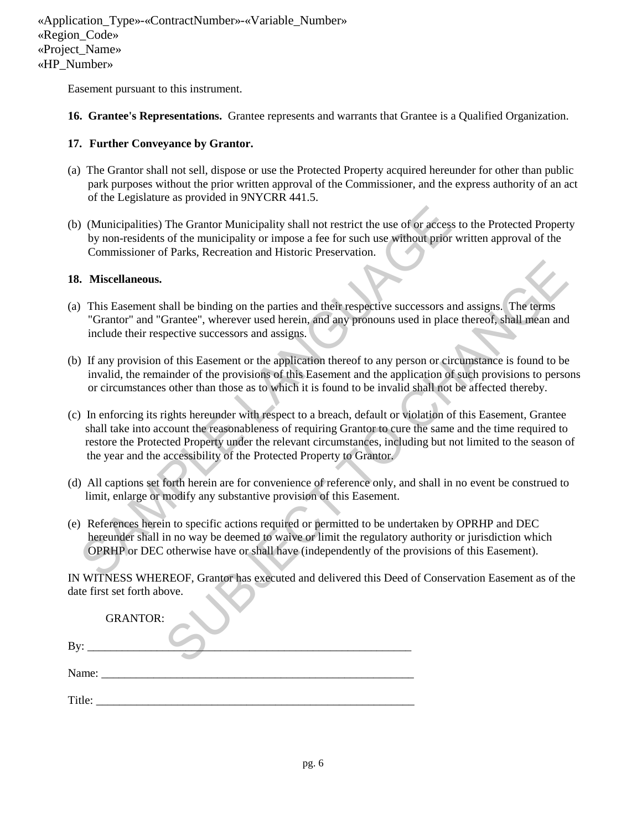Easement pursuant to this instrument.

**16. Grantee's Representations.** Grantee represents and warrants that Grantee is a Qualified Organization.

#### **17. Further Conveyance by Grantor.**

- (a) The Grantor shall not sell, dispose or use the Protected Property acquired hereunder for other than public park purposes without the prior written approval of the Commissioner, and the express authority of an act of the Legislature as provided in 9NYCRR 441.5.
- (b) (Municipalities) The Grantor Municipality shall not restrict the use of or access to the Protected Property by non-residents of the municipality or impose a fee for such use without prior written approval of the Commissioner of Parks, Recreation and Historic Preservation.

#### **18. Miscellaneous.**

- (a) This Easement shall be binding on the parties and their respective successors and assigns. The terms "Grantor" and "Grantee", wherever used herein, and any pronouns used in place thereof, shall mean and include their respective successors and assigns.
- (b) If any provision of this Easement or the application thereof to any person or circumstance is found to be invalid, the remainder of the provisions of this Easement and the application of such provisions to persons or circumstances other than those as to which it is found to be invalid shall not be affected thereby.
- (c) In enforcing its rights hereunder with respect to a breach, default or violation of this Easement, Grantee shall take into account the reasonableness of requiring Grantor to cure the same and the time required to restore the Protected Property under the relevant circumstances, including but not limited to the season of the year and the accessibility of the Protected Property to Grantor. (Municipalities) The Grantor Municipality shall not restrict the use of or access to<br>by non-residents of the municipality or impose a fee for such use without prior wr<br>Commissioner of Parks, Recreation and Historic Preserv thall be binding on the parties and their respective successors and assigns. The terms<br>
Sirantee", wherever used herein, and any pronouns used in place thereof, shall mean and<br>
pective successors and assigns.<br>
So fit is Es
- (d) All captions set forth herein are for convenience of reference only, and shall in no event be construed to limit, enlarge or modify any substantive provision of this Easement.
- (e) References herein to specific actions required or permitted to be undertaken by OPRHP and DEC hereunder shall in no way be deemed to waive or limit the regulatory authority or jurisdiction which OPRHP or DEC otherwise have or shall have (independently of the provisions of this Easement).

 IN WITNESS WHEREOF, Grantor has executed and delivered this Deed of Conservation Easement as of the date first set forth above.

|        | <b>GRANTOR:</b> |
|--------|-----------------|
| By:    |                 |
| Name:  |                 |
| Title: |                 |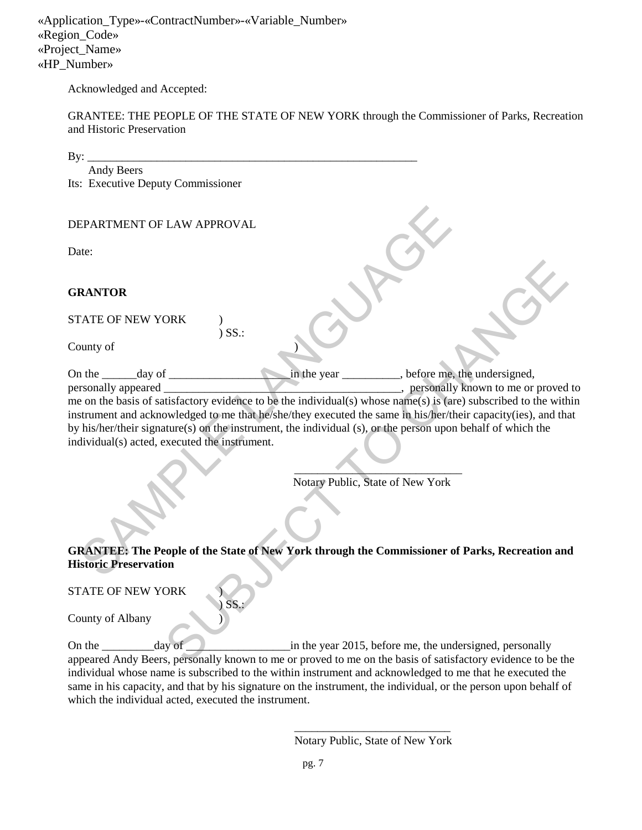Acknowledged and Accepted:

GRANTEE: THE PEOPLE OF THE STATE OF NEW YORK through the Commissioner of Parks, Recreation and Historic Preservation

| Andy Beers<br>Its: Executive Deputy Commissioner<br>DEPARTMENT OF LAW APPROVAL<br>Date:<br><b>GRANTOR</b><br>STATE OF NEW YORK<br>$)$ SS.:<br>County of<br>in the year ___________, before me, the undersigned,<br>On the $\_\_\_\_\$ day of $\_\_\_\_\_\_\_\$<br>personally appeared<br>_________, personally known to me or proved to<br>me on the basis of satisfactory evidence to be the individual(s) whose name(s) is (are) subscribed to the within<br>instrument and acknowledged to me that he/she/they executed the same in his/her/their capacity(ies), and that<br>by his/her/their signature(s) on the instrument, the individual (s), or the person upon behalf of which the<br>individual(s) acted, executed the instrument.<br>Notary Public, State of New York |
|----------------------------------------------------------------------------------------------------------------------------------------------------------------------------------------------------------------------------------------------------------------------------------------------------------------------------------------------------------------------------------------------------------------------------------------------------------------------------------------------------------------------------------------------------------------------------------------------------------------------------------------------------------------------------------------------------------------------------------------------------------------------------------|
|                                                                                                                                                                                                                                                                                                                                                                                                                                                                                                                                                                                                                                                                                                                                                                                  |
|                                                                                                                                                                                                                                                                                                                                                                                                                                                                                                                                                                                                                                                                                                                                                                                  |
|                                                                                                                                                                                                                                                                                                                                                                                                                                                                                                                                                                                                                                                                                                                                                                                  |
|                                                                                                                                                                                                                                                                                                                                                                                                                                                                                                                                                                                                                                                                                                                                                                                  |
|                                                                                                                                                                                                                                                                                                                                                                                                                                                                                                                                                                                                                                                                                                                                                                                  |
|                                                                                                                                                                                                                                                                                                                                                                                                                                                                                                                                                                                                                                                                                                                                                                                  |
|                                                                                                                                                                                                                                                                                                                                                                                                                                                                                                                                                                                                                                                                                                                                                                                  |
|                                                                                                                                                                                                                                                                                                                                                                                                                                                                                                                                                                                                                                                                                                                                                                                  |
|                                                                                                                                                                                                                                                                                                                                                                                                                                                                                                                                                                                                                                                                                                                                                                                  |
|                                                                                                                                                                                                                                                                                                                                                                                                                                                                                                                                                                                                                                                                                                                                                                                  |
|                                                                                                                                                                                                                                                                                                                                                                                                                                                                                                                                                                                                                                                                                                                                                                                  |
|                                                                                                                                                                                                                                                                                                                                                                                                                                                                                                                                                                                                                                                                                                                                                                                  |
|                                                                                                                                                                                                                                                                                                                                                                                                                                                                                                                                                                                                                                                                                                                                                                                  |
|                                                                                                                                                                                                                                                                                                                                                                                                                                                                                                                                                                                                                                                                                                                                                                                  |
|                                                                                                                                                                                                                                                                                                                                                                                                                                                                                                                                                                                                                                                                                                                                                                                  |
|                                                                                                                                                                                                                                                                                                                                                                                                                                                                                                                                                                                                                                                                                                                                                                                  |
|                                                                                                                                                                                                                                                                                                                                                                                                                                                                                                                                                                                                                                                                                                                                                                                  |
|                                                                                                                                                                                                                                                                                                                                                                                                                                                                                                                                                                                                                                                                                                                                                                                  |
|                                                                                                                                                                                                                                                                                                                                                                                                                                                                                                                                                                                                                                                                                                                                                                                  |
|                                                                                                                                                                                                                                                                                                                                                                                                                                                                                                                                                                                                                                                                                                                                                                                  |
|                                                                                                                                                                                                                                                                                                                                                                                                                                                                                                                                                                                                                                                                                                                                                                                  |
|                                                                                                                                                                                                                                                                                                                                                                                                                                                                                                                                                                                                                                                                                                                                                                                  |
|                                                                                                                                                                                                                                                                                                                                                                                                                                                                                                                                                                                                                                                                                                                                                                                  |
|                                                                                                                                                                                                                                                                                                                                                                                                                                                                                                                                                                                                                                                                                                                                                                                  |
|                                                                                                                                                                                                                                                                                                                                                                                                                                                                                                                                                                                                                                                                                                                                                                                  |
| <b>GRANTEE: The People of the State of New York through the Commissioner of Parks, Recreation and</b><br><b>Historic Preservation</b>                                                                                                                                                                                                                                                                                                                                                                                                                                                                                                                                                                                                                                            |
|                                                                                                                                                                                                                                                                                                                                                                                                                                                                                                                                                                                                                                                                                                                                                                                  |
| <b>STATE OF NEW YORK</b>                                                                                                                                                                                                                                                                                                                                                                                                                                                                                                                                                                                                                                                                                                                                                         |
| SS.                                                                                                                                                                                                                                                                                                                                                                                                                                                                                                                                                                                                                                                                                                                                                                              |
| County of Albany                                                                                                                                                                                                                                                                                                                                                                                                                                                                                                                                                                                                                                                                                                                                                                 |
|                                                                                                                                                                                                                                                                                                                                                                                                                                                                                                                                                                                                                                                                                                                                                                                  |
| On the _________________day of<br>in the year 2015, before me, the undersigned, personally<br>appeared Andy Beers, personally known to me or proved to me on the basis of satisfactory evidence to be the                                                                                                                                                                                                                                                                                                                                                                                                                                                                                                                                                                        |

On the \_\_\_\_\_\_\_\_\_day of \_\_\_\_\_\_\_\_\_\_\_\_\_\_\_\_\_\_in the year 2015, before me, the undersigned, personally appeared Andy Beers, personally known to me or proved to me on the basis of satisfactory evidence to be the individual whose name is subscribed to the within instrument and acknowledged to me that he executed the same in his capacity, and that by his signature on the instrument, the individual, or the person upon behalf of which the individual acted, executed the instrument.

> \_\_\_\_\_\_\_\_\_\_\_\_\_\_\_\_\_\_\_\_\_\_\_\_\_\_\_ Notary Public, State of New York